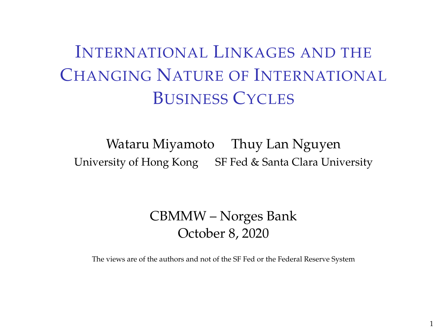# INTERNATIONAL LINKAGES AND THE CHANGING NATURE OF INTERNATIONAL BUSINESS CYCLES

Wataru Miyamoto Thuy Lan Nguyen University of Hong Kong SF Fed & Santa Clara University

#### CBMMW – Norges Bank October 8, 2020

The views are of the authors and not of the SF Fed or the Federal Reserve System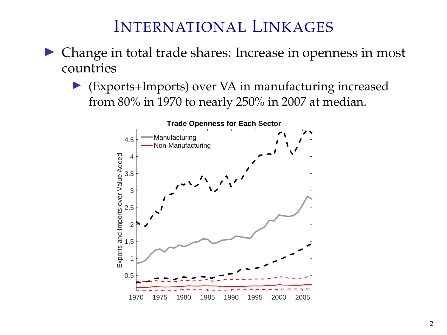#### INTERNATIONAL LINKAGES

- $\triangleright$  Change in total trade shares: Increase in openness in most countries
	- (Exports+Imports) over VA in manufacturing increased from 80% in 1970 to nearly 250% in 2007 at median.

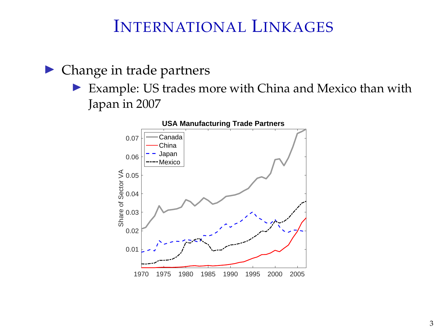#### INTERNATIONAL LINKAGES

 $\blacktriangleright$  Change in trade partners

 $\triangleright$  Example: US trades more with China and Mexico than with Japan in 2007

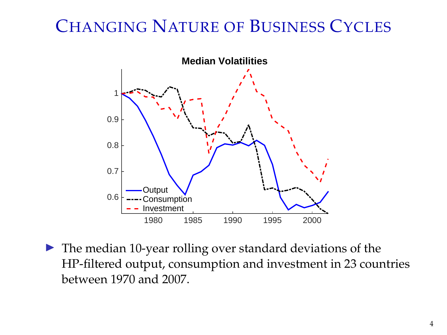## CHANGING NATURE OF BUSINESS CYCLES



 $\blacktriangleright$  The median 10-year rolling over standard deviations of the HP-filtered output, consumption and investment in 23 countries between 1970 and 2007.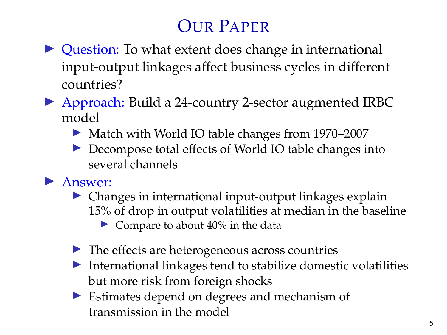# OUR PAPER

- $\triangleright$  Question: To what extent does change in international input-output linkages affect business cycles in different countries?
- ▶ Approach: Build a 24-country 2-sector augmented IRBC model
	- ▶ Match with World IO table changes from 1970–2007
	- ▶ Decompose total effects of World IO table changes into several channels

#### $\blacktriangleright$  Answer:

- $\triangleright$  Changes in international input-output linkages explain 15% of drop in output volatilities at median in the baseline
	- $\triangleright$  Compare to about 40% in the data
- $\blacktriangleright$  The effects are heterogeneous across countries
- $\blacktriangleright$  International linkages tend to stabilize domestic volatilities but more risk from foreign shocks
- $\triangleright$  Estimates depend on degrees and mechanism of transmission in the model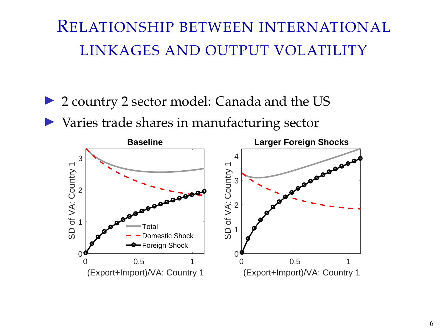## RELATIONSHIP BETWEEN INTERNATIONAL LINKAGES AND OUTPUT VOLATILITY

- ▶ 2 country 2 sector model: Canada and the US
- $\triangleright$  Varies trade shares in manufacturing sector

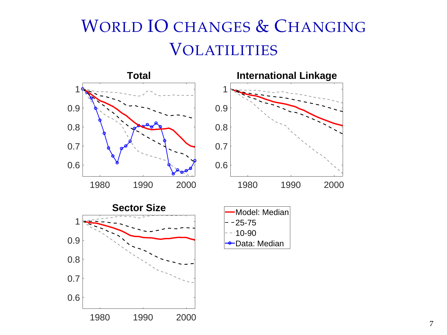# WORLD IO CHANGES & CHANGING **VOLATILITIES**

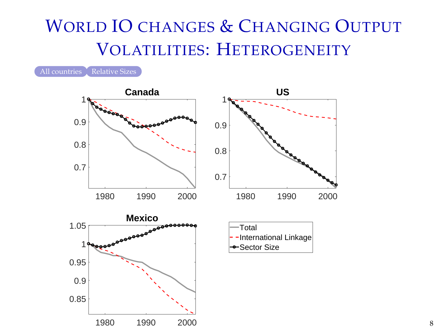# WORLD IO CHANGES & CHANGING OUTPUT VOLATILITIES: HETEROGENEITY

<span id="page-7-0"></span>[All countries](#page-45-0) [Relative Sizes](#page-44-0)

0.85 0.9



1980 1990 2000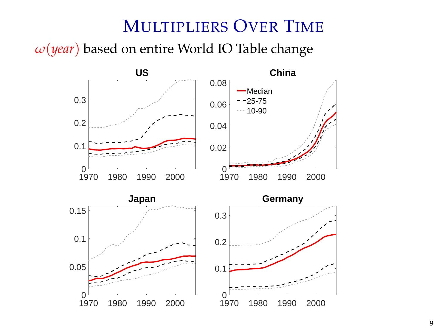#### MULTIPLIERS OVER TIME

*ω*(*year*) based on entire World IO Table change

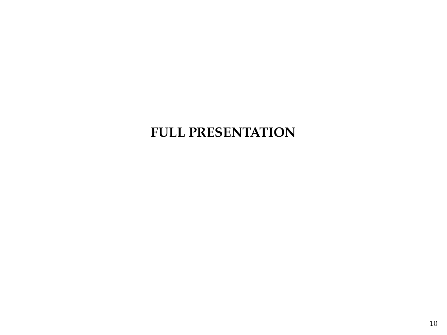#### **FULL PRESENTATION**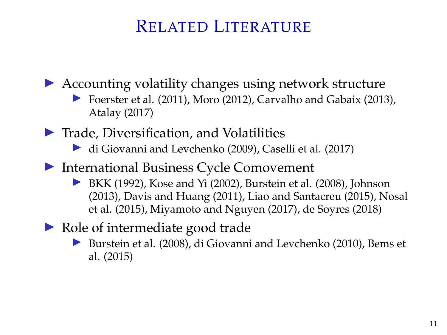### RELATED LITERATURE

 $\triangleright$  Accounting volatility changes using network structure

- I Foerster et al. (2011), Moro (2012), Carvalho and Gabaix (2013), Atalay (2017)
- $\blacktriangleright$  Trade, Diversification, and Volatilities
	- $\blacktriangleright$  di Giovanni and Levchenko (2009), Caselli et al. (2017)
- $\blacktriangleright$  International Business Cycle Comovement
	- BKK (1992), Kose and Yi (2002), Burstein et al. (2008), Johnson (2013), Davis and Huang (2011), Liao and Santacreu (2015), Nosal et al. (2015), Miyamoto and Nguyen (2017), de Soyres (2018)
- $\triangleright$  Role of intermediate good trade
	- I Burstein et al. (2008), di Giovanni and Levchenko (2010), Bems et al. (2015)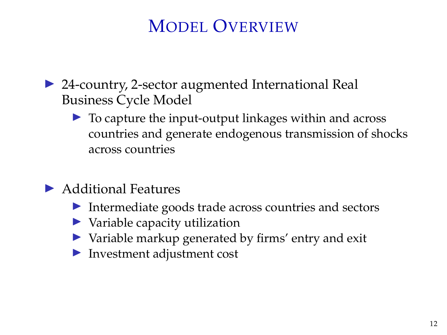## MODEL OVERVIEW

- ▶ 24-country, 2-sector augmented International Real Business Cycle Model
	- $\triangleright$  To capture the input-output linkages within and across countries and generate endogenous transmission of shocks across countries
- $\blacktriangleright$  Additional Features
	- $\blacktriangleright$  Intermediate goods trade across countries and sectors
	- $\blacktriangleright$  Variable capacity utilization
	- $\triangleright$  Variable markup generated by firms' entry and exit
	- $\blacktriangleright$  Investment adjustment cost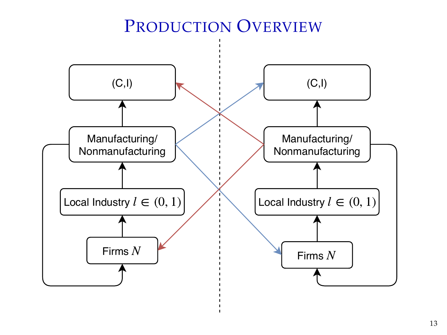### PRODUCTION OVERVIEW

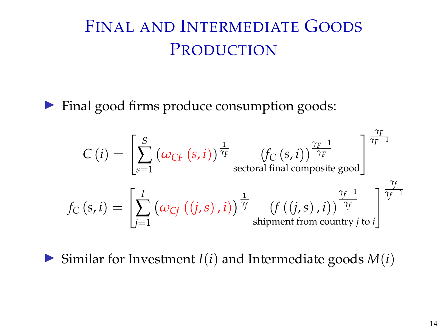# FINAL AND INTERMEDIATE GOODS PRODUCTION

 $\blacktriangleright$  Final good firms produce consumption goods:

$$
C(i) = \left[\sum_{s=1}^{S} (\omega_{CF}(s,i))^{\frac{1}{\gamma_F}} \left(f_C(s,i)\right)^{\frac{\gamma_F-1}{\gamma_F}}\right]_{\text{sectoral final composite good}}^{\frac{\gamma_F}{\gamma_F-1}}
$$

$$
f_C(s,i) = \left[\sum_{j=1}^{I} (\omega_{Cf}((j,s),i))^{\frac{1}{\gamma_f}} \left(f((j,s),i)\right)^{\frac{\gamma_f-1}{\gamma_f}}\right]_{\text{shipment from country }j \text{ to } i}^{\frac{\gamma_f}{\gamma_f-1}}
$$

 $\triangleright$  Similar for Investment *I*(*i*) and Intermediate goods *M*(*i*)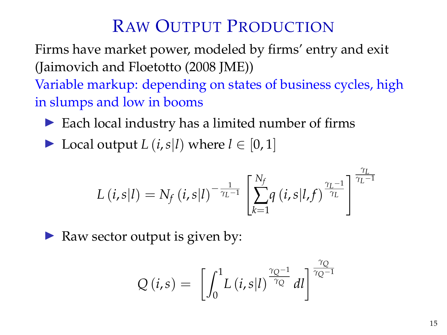## RAW OUTPUT PRODUCTION

Firms have market power, modeled by firms' entry and exit (Jaimovich and Floetotto (2008 JME))

Variable markup: depending on states of business cycles, high in slumps and low in booms

- $\triangleright$  Each local industry has a limited number of firms
- ▶ Local output *L* (*i*,*s*|*l*) where  $l \in [0, 1]$

$$
L(i,s|l) = N_f(i,s|l)^{-\frac{1}{\gamma_L-1}} \left[ \sum_{k=1}^{N_f} q(i,s|l,f)^{\frac{\gamma_L-1}{\gamma_L}} \right]^{\frac{\gamma_L}{\gamma_L-1}}
$$

Raw sector output is given by:

$$
Q(i,s) = \left[ \int_0^1 L(i,s|l)^{\frac{\gamma_Q-1}{\gamma_Q}} dl \right]^{\frac{\gamma_Q}{\gamma_Q-1}}
$$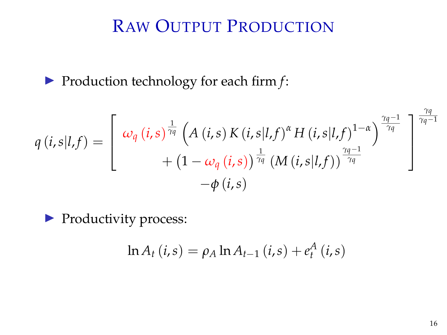## RAW OUTPUT PRODUCTION

▶ Production technology for each firm *f*:

$$
q(i,s|l,f) = \begin{bmatrix} \omega_q(i,s)^{\frac{1}{\gamma_q}} \left( A(i,s) K(i,s|l,f)^{\alpha} H(i,s|l,f)^{1-\alpha} \right)^{\frac{\gamma_q-1}{\gamma_q}} \\ + \left( 1 - \omega_q(i,s) \right)^{\frac{1}{\gamma_q}} \left( M(i,s|l,f) \right)^{\frac{\gamma_q-1}{\gamma_q}} \\ -\phi(i,s) \end{bmatrix}^{\frac{\gamma_q-1}{\gamma_q-1}}
$$

**Productivity process:** 

$$
\ln A_t (i,s) = \rho_A \ln A_{t-1} (i,s) + e_t^A (i,s)
$$

*γq*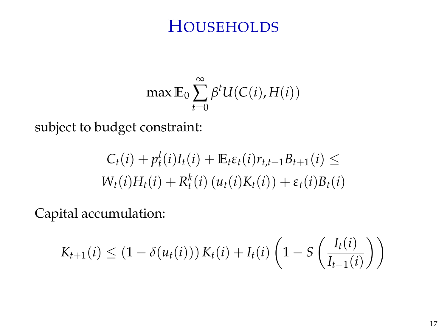#### **HOUSEHOLDS**

$$
\max \mathbb{E}_0 \sum_{t=0}^{\infty} \beta^t U(C(i), H(i))
$$

subject to budget constraint:

$$
C_t(i) + p_t^I(i)I_t(i) + \mathbb{E}_t \varepsilon_t(i)r_{t,t+1}B_{t+1}(i) \le
$$
  
 
$$
W_t(i)H_t(i) + R_t^k(i) (u_t(i)K_t(i)) + \varepsilon_t(i)B_t(i)
$$

Capital accumulation:

$$
K_{t+1}(i) \leq (1 - \delta(u_t(i))) K_t(i) + I_t(i) \left( 1 - S\left(\frac{I_t(i)}{I_{t-1}(i)}\right) \right)
$$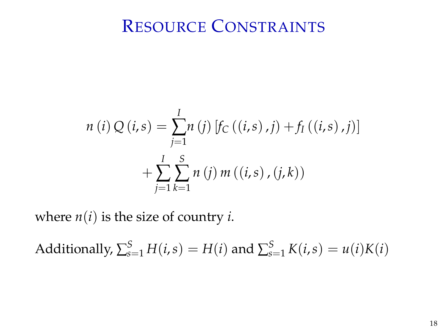#### RESOURCE CONSTRAINTS

$$
n(i) Q(i,s) = \sum_{j=1}^{I} n(j) [f_C((i,s),j) + f_I((i,s),j)]
$$
  
+ 
$$
\sum_{j=1}^{I} \sum_{k=1}^{S} n(j) m((i,s), (j,k))
$$

where  $n(i)$  is the size of country *i*.

Additionally,  $\sum_{s=1}^{S} H(i, s) = H(i)$  and  $\sum_{s=1}^{S} K(i, s) = u(i)K(i)$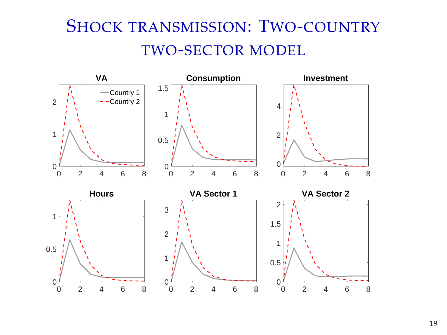# SHOCK TRANSMISSION: TWO-COUNTRY TWO-SECTOR MODEL

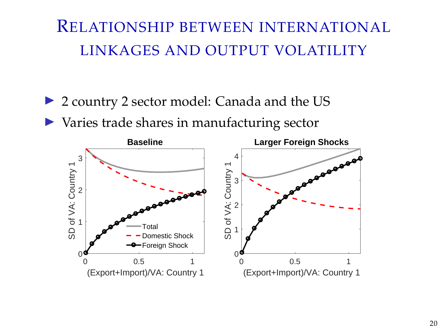## RELATIONSHIP BETWEEN INTERNATIONAL LINKAGES AND OUTPUT VOLATILITY

- ▶ 2 country 2 sector model: Canada and the US
- $\triangleright$  Varies trade shares in manufacturing sector

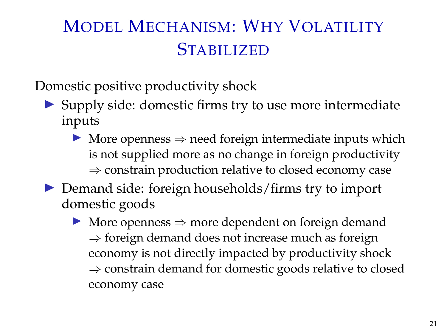# MODEL MECHANISM: WHY VOLATILITY **STABILIZED**

Domestic positive productivity shock

- $\triangleright$  Supply side: domestic firms try to use more intermediate inputs
	- $\triangleright$  More openness  $\Rightarrow$  need foreign intermediate inputs which is not supplied more as no change in foreign productivity ⇒ constrain production relative to closed economy case
- $\triangleright$  Demand side: foreign households/firms try to import domestic goods
	- $▶$  More openness  $⇒$  more dependent on foreign demand  $\Rightarrow$  foreign demand does not increase much as foreign economy is not directly impacted by productivity shock ⇒ constrain demand for domestic goods relative to closed economy case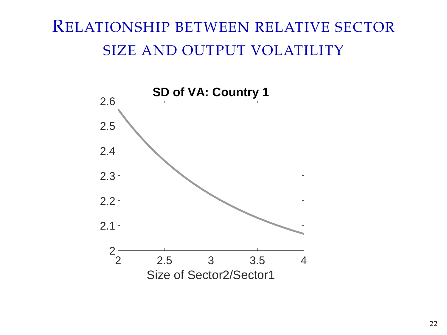## RELATIONSHIP BETWEEN RELATIVE SECTOR SIZE AND OUTPUT VOLATILITY

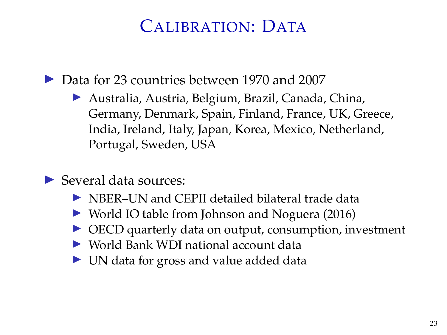## CALIBRATION: DATA

▶ Data for 23 countries between 1970 and 2007

- ▶ Australia, Austria, Belgium, Brazil, Canada, China, Germany, Denmark, Spain, Finland, France, UK, Greece, India, Ireland, Italy, Japan, Korea, Mexico, Netherland, Portugal, Sweden, USA
- $\blacktriangleright$  Several data sources:
	- $\triangleright$  NBER–UN and CEPII detailed bilateral trade data
	- World IO table from Johnson and Noguera (2016)
	- $\triangleright$  OECD quarterly data on output, consumption, investment
	- $\triangleright$  World Bank WDI national account data
	- $\triangleright$  UN data for gross and value added data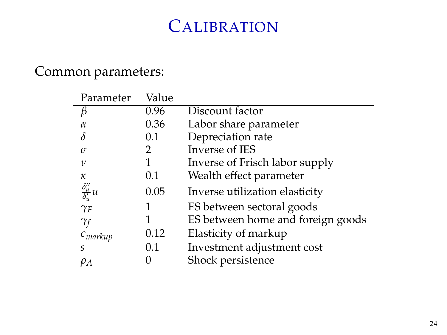## **CALIBRATION**

#### Common parameters:

| Parameter                                            | Value   |                                   |
|------------------------------------------------------|---------|-----------------------------------|
|                                                      | 0.96    | Discount factor                   |
|                                                      | 0.36    | Labor share parameter             |
|                                                      | $0.1\,$ | Depreciation rate                 |
| $\sigma$                                             | 2       | Inverse of IES                    |
| $\upsilon$                                           |         | Inverse of Frisch labor supply    |
| κ                                                    | 0.1     | Wealth effect parameter           |
| $\frac{\delta^{\prime\prime}_u}{\delta^{\prime}_u}u$ | 0.05    | Inverse utilization elasticity    |
| $\gamma_F$                                           |         | ES between sectoral goods         |
| Yf                                                   |         | ES between home and foreign goods |
| $\epsilon_{markup}$                                  | 0.12    | Elasticity of markup              |
| S                                                    | 0.1     | Investment adjustment cost        |
| $\rho_A$                                             |         | Shock persistence                 |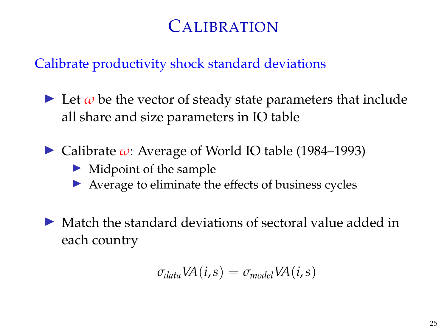## CALIBRATION

#### Calibrate productivity shock standard deviations

- $\triangleright$  Let  $\omega$  be the vector of steady state parameters that include all share and size parameters in IO table
- $\triangleright$  Calibrate  $\omega$ : Average of World IO table (1984–1993)
	- $\blacktriangleright$  Midpoint of the sample
	- $\triangleright$  Average to eliminate the effects of business cycles
- $\triangleright$  Match the standard deviations of sectoral value added in each country

$$
\sigma_{data}VA(i,s) = \sigma_{model}VA(i,s)
$$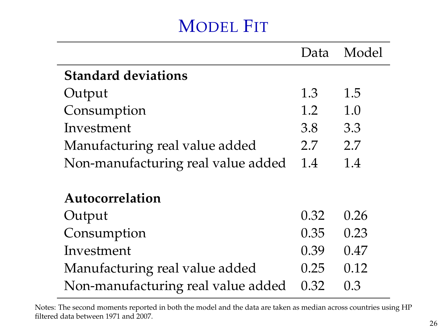## MODEL FIT

|                                    | Data | Model |
|------------------------------------|------|-------|
| <b>Standard deviations</b>         |      |       |
| Output                             | 1.3  | 1.5   |
| Consumption                        | 1.2  | 1.0   |
| Investment                         | 3.8  | 3.3   |
| Manufacturing real value added     | 2.7  | 2.7   |
| Non-manufacturing real value added | 1.4  | 1.4   |
|                                    |      |       |
| Autocorrelation                    |      |       |
| Output                             | 0.32 | 0.26  |
| Consumption                        | 0.35 | 0.23  |
| Investment                         | 0.39 | 0.47  |
| Manufacturing real value added     | 0.25 | 0.12  |
| Non-manufacturing real value added | 0.32 | 0.3   |

Notes: The second moments reported in both the model and the data are taken as median across countries using HP filtered data between 1971 and 2007.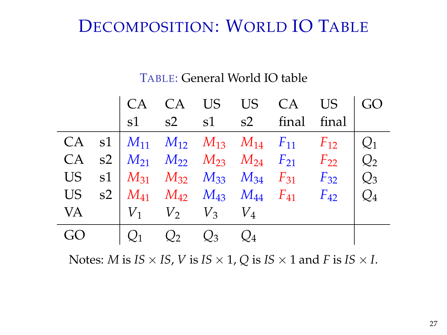## DECOMPOSITION: WORLD IO TABLE

#### TABLE: General World IO table

|    |                         |       |             | $ $ CA CA US US CA US $ $ GO                                                      |       |
|----|-------------------------|-------|-------------|-----------------------------------------------------------------------------------|-------|
|    |                         |       |             | s1 s2 s1 s2 final final                                                           |       |
|    |                         |       |             | CA s1   $M_{11}$ $M_{12}$ $M_{13}$ $M_{14}$ $F_{11}$ $F_{12}$                     |       |
|    |                         |       |             | CA s2 $M_{21}$ $M_{22}$ $M_{23}$ $M_{24}$ $F_{21}$ $F_{22}$ $Q_2$                 |       |
|    |                         |       |             | US s1 $M_{31}$ $M_{32}$ $M_{33}$ $M_{34}$ $F_{31}$ $F_{32}$ $Q_3$                 |       |
| US |                         |       |             | $S2 \mid M_{41} \mid M_{42} \mid M_{43} \mid M_{44} \mid F_{41} \mid F_{42} \mid$ | $Q_4$ |
| VA | $V_1$ $V_2$ $V_3$ $V_4$ |       |             |                                                                                   |       |
|    | O <sub>1</sub>          | $Q_2$ | $Q_3$ $Q_4$ |                                                                                   |       |

Notes: *M* is *IS*  $\times$  *IS*, *V* is *IS*  $\times$  1, *Q* is *IS*  $\times$  1 and *F* is *IS*  $\times$  *I*.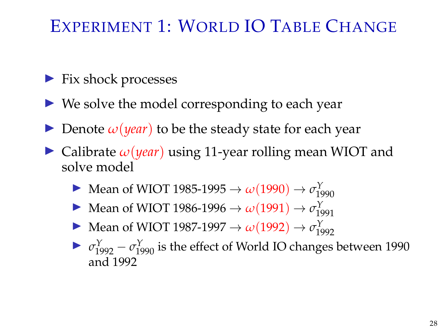## EXPERIMENT 1: WORLD IO TABLE CHANGE

- $\blacktriangleright$  Fix shock processes
- $\triangleright$  We solve the model corresponding to each year
- **IDenote**  $\omega$ (*year*) to be the steady state for each year
- $\triangleright$  Calibrate  $\omega(\text{year})$  using 11-year rolling mean WIOT and solve model
	- $\triangleright$  Mean of WIOT 1985-1995 → *ω*(1990) → *σ*<sup>Y</sup><sub>1990</sub>
	- $\triangleright$  Mean of WIOT 1986-1996 → *ω*(1991) → *σ*<sup>Y</sup><sub>1991</sub>
	- $\triangleright$  Mean of WIOT 1987-1997 → *ω*(1992) → *σ*<sup>Y</sup><sub>1992</sub>
	- $\triangleright$  *σ*<sup>Y</sup><sub>1992</sub> *σ*<sup>Y</sup><sub>1990</sub> is the effect of World IO changes between 1990 and 1992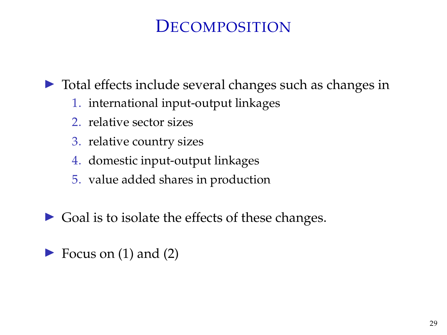### **DECOMPOSITION**

 $\triangleright$  Total effects include several changes such as changes in

- 1. international input-output linkages
- 2. relative sector sizes
- 3. relative country sizes
- 4. domestic input-output linkages
- 5. value added shares in production
- $\triangleright$  Goal is to isolate the effects of these changes.
- $\blacktriangleright$  Focus on (1) and (2)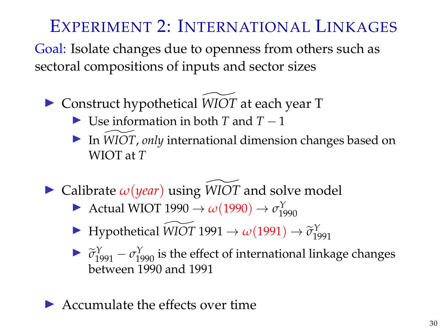## EXPERIMENT 2: INTERNATIONAL LINKAGES

Goal: Isolate changes due to openness from others such as sectoral compositions of inputs and sector sizes

- ▶ Construct hypothetical *WIOT* at each year T
	- $\triangleright$  Use information in both *T* and *T* − 1
	- In *WIOT*, *only* international dimension changes based on WIOT at *T*
- $\triangleright$  Calibrate  $\omega$ (*year*) using *WIOT* and solve model
	- Actual WIOT 1990  $\rightarrow \omega(1990) \rightarrow \sigma_{1990}^Y$
	- $\blacktriangleright$  Hypothetical *WIOT* 1991 → *ω*(1991) →  $\tilde{\sigma}_{1991}^Y$
	- $\triangleright$   $\widetilde{\sigma}_{1991}^{Y} \sigma_{1990}^{Y}$  is the effect of international linkage changes<br>het your 1990 and 1991 between 1990 and 1991
- $\blacktriangleright$  Accumulate the effects over time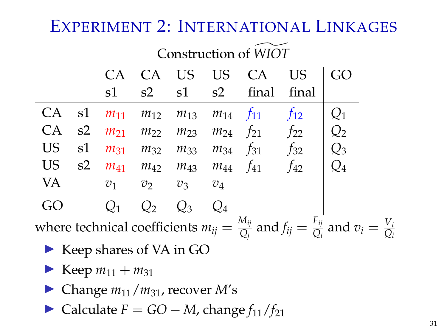### EXPERIMENT 2: INTERNATIONAL LINKAGES

|           |    | Construction of WIOT |       |                   |          |                                                       |           |                 |  |
|-----------|----|----------------------|-------|-------------------|----------|-------------------------------------------------------|-----------|-----------------|--|
|           |    | CA <sup></sup>       | CA    | <b>US</b>         | US CA    |                                                       | <b>US</b> | GO              |  |
|           |    | s1                   | s2    | $s1$ $s2$         |          | final                                                 | final     |                 |  |
| СA        | s1 | $m_{11}$             |       |                   |          | $m_{12}$ $m_{13}$ $m_{14}$ $f_{11}$                   | $f_{12}$  | $\mathcal{Q}_1$ |  |
| CA        | s2 |                      |       |                   |          | $m_{21}$ $m_{22}$ $m_{23}$ $m_{24}$ $f_{21}$ $f_{22}$ |           | Q <sub>2</sub>  |  |
| <b>US</b> | s1 | $m_{31}$             |       | $m_{32}$ $m_{33}$ | $m_{34}$ | $f_{31}$                                              | $f_{32}$  | $Q_3$           |  |
| US        | s2 | $m_{41}$             |       | $m_{42}$ $m_{43}$ | $m_{44}$ | $f_{41}$                                              | $f_{42}$  | $Q_4$           |  |
| <b>VA</b> |    | $v_1$                | $v_2$ | $v_3$             | $v_4$    |                                                       |           |                 |  |
|           |    |                      |       | $Q_3$             |          |                                                       |           |                 |  |
|           |    |                      |       |                   |          | $\lambda$                                             |           |                 |  |

where technical coefficients  $m_{ij} = \frac{M_{ij}}{O_i}$  $\frac{M_{ij}}{Q_j}$  and  $f_{ij} = \frac{F_{ij}}{Q_i}$  $\frac{Y_{ij}}{Q_i}$  and  $v_i = \frac{V_i}{Q_i}$ *Qi*

- $\blacktriangleright$  Keep shares of VA in GO
- **I** Keep  $m_{11} + m_{31}$
- $\blacktriangleright$  Change  $m_{11}/m_{31}$ , recover M's
- $\triangleright$  Calculate *F* = *GO* − *M*, change  $f_{11}/f_{21}$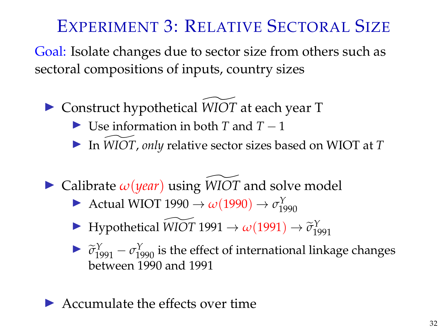## EXPERIMENT 3: RELATIVE SECTORAL SIZE

Goal: Isolate changes due to sector size from others such as sectoral compositions of inputs, country sizes

- ▶ Construct hypothetical *WIOT* at each year T
	- $\blacktriangleright$  Use information in both *T* and *T* − 1
	- ▶ In *WIOT*, *only* relative sector sizes based on WIOT at *T*
- $\triangleright$  Calibrate  $\omega$ (*year*) using *WIOT* and solve model
	- Actual WIOT 1990  $\rightarrow \omega(1990) \rightarrow \sigma_{1990}^Y$
	- $\blacktriangleright$  Hypothetical *WIOT* 1991 → *ω*(1991) →  $\tilde{\sigma}_{1991}^Y$
	- $\triangleright$   $\widetilde{\sigma}_{1991}^{Y} \sigma_{1990}^{Y}$  is the effect of international linkage changes<br>hatuson 1990 and 1991 between 1990 and 1991
- $\blacktriangleright$  Accumulate the effects over time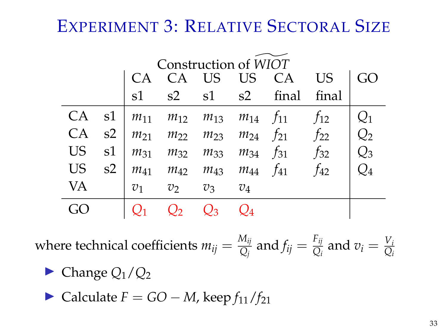## EXPERIMENT 3: RELATIVE SECTORAL SIZE

|           |    | Construction of WIOT |                |       |       |                                                       |          |                 |
|-----------|----|----------------------|----------------|-------|-------|-------------------------------------------------------|----------|-----------------|
|           |    | $\bigcap$ $\bigcap$  |                |       |       | CA US US CA                                           | US.      |                 |
|           |    | s1                   | s2             |       |       | s1 s2 final                                           | final    |                 |
| CA        |    |                      |                |       |       | s1 $m_{11}$ $m_{12}$ $m_{13}$ $m_{14}$ $f_{11}$       | $f_{12}$ |                 |
| CA        | s2 |                      |                |       |       | $m_{21}$ $m_{22}$ $m_{23}$ $m_{24}$ $f_{21}$ $f_{22}$ |          | $\mathcal{Q}_2$ |
| <b>US</b> | s1 |                      |                |       |       | $m_{31}$ $m_{32}$ $m_{33}$ $m_{34}$ $f_{31}$ $f_{32}$ |          | $\mathcal{Q}_3$ |
| <b>US</b> | s2 |                      |                |       |       | $m_{41}$ $m_{42}$ $m_{43}$ $m_{44}$ $f_{41}$          | $f_{42}$ | $\mathcal{Q}_4$ |
| VA        |    | $\mathcal{V}_1$      | v <sub>2</sub> | $v_3$ | $v_4$ |                                                       |          |                 |
|           |    |                      |                |       |       |                                                       |          |                 |

where technical coefficients  $m_{ij} = \frac{M_{ij}}{O_i}$  $\frac{M_{ij}}{Q_j}$  and  $f_{ij} = \frac{F_{ij}}{Q_i}$  $\frac{F_{ij}}{Q_i}$  and  $v_i = \frac{V_i}{Q_i}$ *Qi*

$$
\blacktriangleright
$$
 Change  $Q_1/Q_2$ 

 $\triangleright$  Calculate *F* = *GO* − *M*, keep  $f_{11}/f_{21}$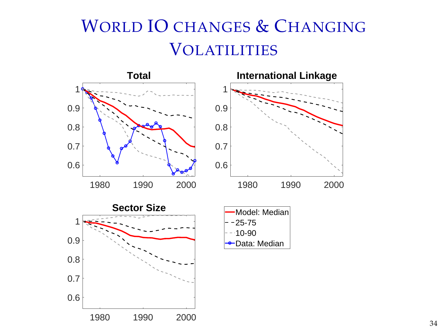# WORLD IO CHANGES & CHANGING **VOLATILITIES**

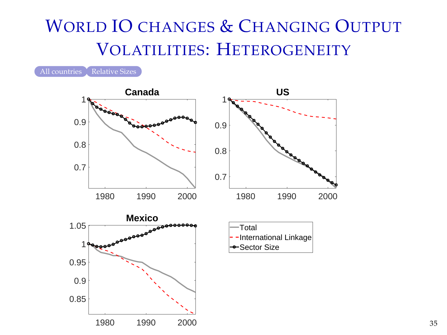# WORLD IO CHANGES & CHANGING OUTPUT VOLATILITIES: HETEROGENEITY

[All countries](#page-45-0) [Relative Sizes](#page-44-0)





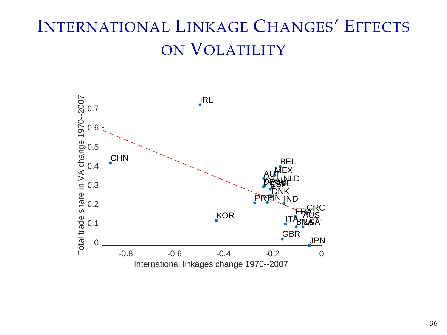# INTERNATIONAL LINKAGE CHANGES' EFFECTS ON VOLATILITY

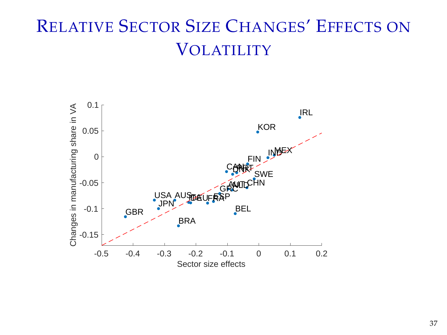# RELATIVE SECTOR SIZE CHANGES' EFFECTS ON VOLATILITY

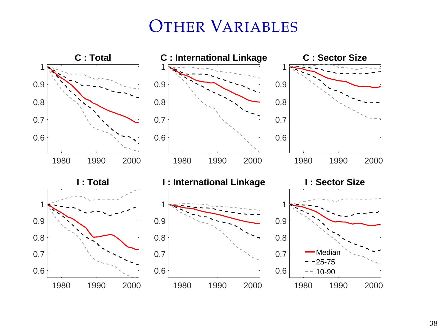#### OTHER VARIABLES

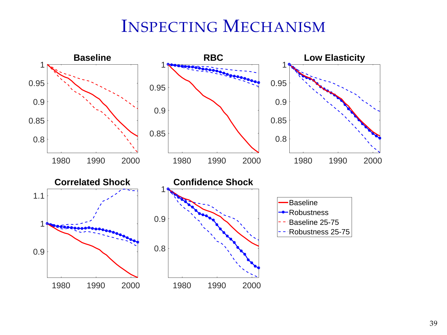### INSPECTING MECHANISM

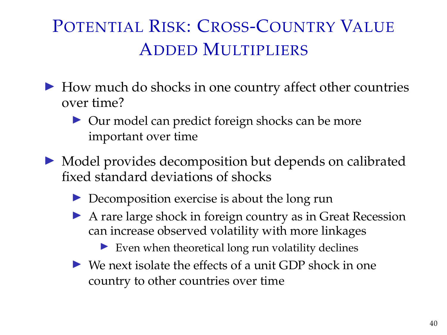# POTENTIAL RISK: CROSS-COUNTRY VALUE ADDED MULTIPLIERS

- $\blacktriangleright$  How much do shocks in one country affect other countries over time?
	- $\triangleright$  Our model can predict foreign shocks can be more important over time
- $\triangleright$  Model provides decomposition but depends on calibrated fixed standard deviations of shocks
	- $\triangleright$  Decomposition exercise is about the long run
	- $\triangleright$  A rare large shock in foreign country as in Great Recession can increase observed volatility with more linkages
		- $\blacktriangleright$  Even when theoretical long run volatility declines
	- $\triangleright$  We next isolate the effects of a unit GDP shock in one country to other countries over time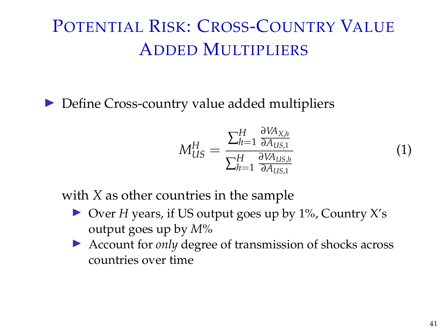# POTENTIAL RISK: CROSS-COUNTRY VALUE ADDED MULTIPLIERS

 $\triangleright$  Define Cross-country value added multipliers

$$
M_{US}^H = \frac{\sum_{h=1}^H \frac{\partial V A_{X,h}}{\partial A_{US,1}}}{\sum_{h=1}^H \frac{\partial V A_{US,h}}{\partial A_{US,1}}} \tag{1}
$$

with *X* as other countries in the sample

- ▶ Over *H* years, if US output goes up by 1%, Country X's output goes up by *M*%
- ▶ Account for *only* degree of transmission of shocks across countries over time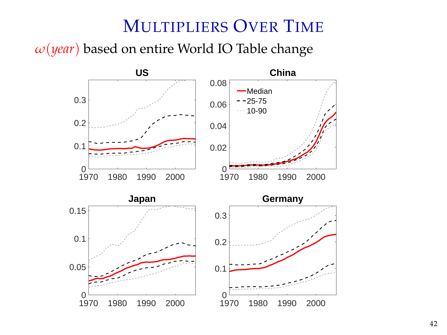#### MULTIPLIERS OVER TIME

*ω*(*year*) based on entire World IO Table change

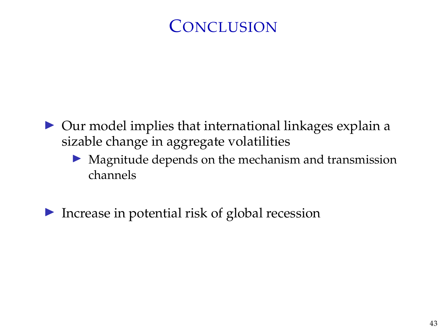### **CONCLUSION**

- $\triangleright$  Our model implies that international linkages explain a sizable change in aggregate volatilities
	- $\triangleright$  Magnitude depends on the mechanism and transmission channels
- $\blacktriangleright$  Increase in potential risk of global recession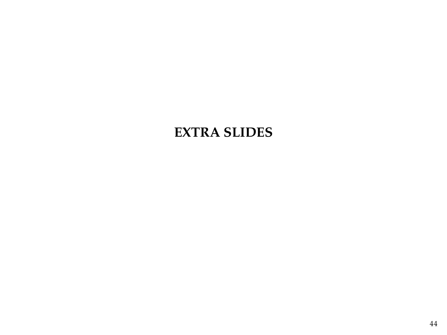#### **EXTRA SLIDES**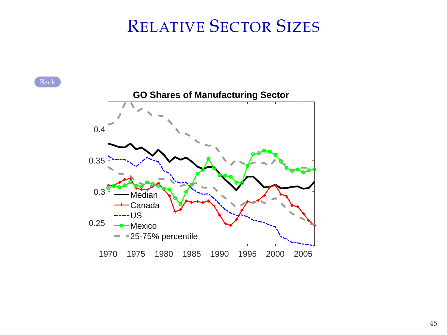### RELATIVE SECTOR SIZES

<span id="page-44-0"></span>